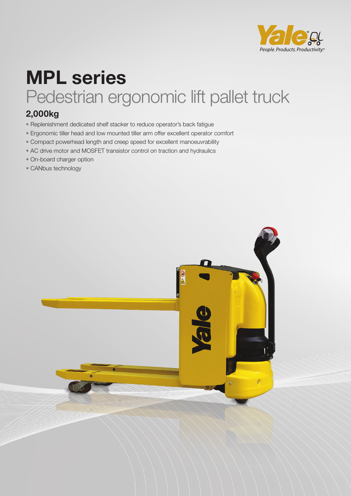

## **MPL series** Pedestrian ergonomic lift pallet truck

### **2,000kg**

- Replenishment dedicated shelf stacker to reduce operator's back fatigue
- Ergonomic tiller head and low mounted tiller arm offer excellent operator comfort
- Compact powerhead length and creep speed for excellent manoeuvrability
- AC drive motor and MOSFET transistor control on traction and hydraulics
- On-board charger option
- CANbus technology

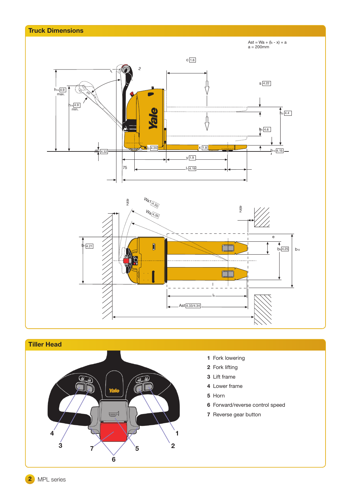

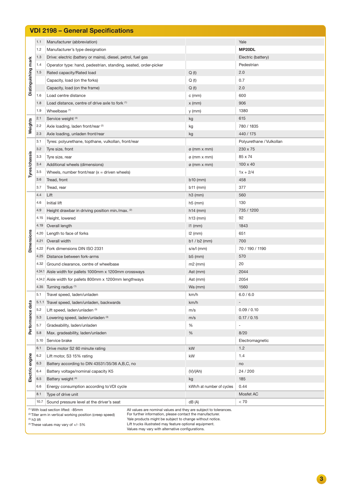| <b>VDI 2198 - General Specifications</b>                                                                                                                                                                                                                                                                             |       |                                                                 |              |                           |                          |
|----------------------------------------------------------------------------------------------------------------------------------------------------------------------------------------------------------------------------------------------------------------------------------------------------------------------|-------|-----------------------------------------------------------------|--------------|---------------------------|--------------------------|
| Distinguishing mark                                                                                                                                                                                                                                                                                                  | 1.1   | Manufacturer (abbreviation)                                     |              |                           | Yale                     |
|                                                                                                                                                                                                                                                                                                                      | 1.2   | Manufacturer's type designation                                 |              |                           | MP20DL                   |
|                                                                                                                                                                                                                                                                                                                      | 1.3   | Drive: electric (battery or mains), diesel, petrol, fuel gas    |              |                           | Electric (battery)       |
|                                                                                                                                                                                                                                                                                                                      | 1.4   | Operator type: hand, pedestrian, standing, seated, order-picker |              |                           | Pedestrian               |
|                                                                                                                                                                                                                                                                                                                      | 1.5   | Rated capacity/Rated load                                       | Q(t)         |                           | 2.0                      |
|                                                                                                                                                                                                                                                                                                                      |       | Capacity, load (on the forks)                                   | Q(t)         |                           | 0.7                      |
|                                                                                                                                                                                                                                                                                                                      |       | Capacity, load (on the frame)                                   | Q(t)         |                           | 2.0                      |
|                                                                                                                                                                                                                                                                                                                      | 1.6   | Load centre distance                                            | c (mm)       |                           | 600                      |
|                                                                                                                                                                                                                                                                                                                      | 1.8   | Load distance, centre of drive axle to fork (1)                 | $x$ (mm)     |                           | 906                      |
|                                                                                                                                                                                                                                                                                                                      | 1.9   | Wheelbase <sup>(1)</sup>                                        |              | y (mm)                    | 1380                     |
| Weights                                                                                                                                                                                                                                                                                                              | 2.1   | Service weight (4)                                              | kg           |                           | 615                      |
|                                                                                                                                                                                                                                                                                                                      | 2.2   | Axle loading, laden front/rear (2)                              | kg           |                           | 780 / 1835               |
|                                                                                                                                                                                                                                                                                                                      | 2.3   | Axle loading, unladen front/rear                                | kg           |                           | 440 / 175                |
|                                                                                                                                                                                                                                                                                                                      | 3.1   | Tyres: polyurethane, topthane, vulkollan, front/rear            |              |                           | Polyurethane / Vulkollan |
|                                                                                                                                                                                                                                                                                                                      | 3.2   | Tyre size, front                                                |              | $\varphi$ (mm x mm)       | 230 x 75                 |
|                                                                                                                                                                                                                                                                                                                      | 3.3   | Tyre size, rear                                                 |              | ø (mm x mm)               | 85 x 74                  |
| Tyres/chassis                                                                                                                                                                                                                                                                                                        | 3.4   | Additional wheels (dimensions)                                  |              | ø (mm x mm)               | $100 \times 40$          |
|                                                                                                                                                                                                                                                                                                                      | 3.5   | Wheels, number front/rear $(x =$ driven wheels)                 |              |                           | $1x + 2/4$               |
|                                                                                                                                                                                                                                                                                                                      | 3.6   | Tread, front                                                    | b10 (mm)     |                           | 458                      |
|                                                                                                                                                                                                                                                                                                                      | 3.7   | Tread, rear                                                     | b11 (mm)     |                           | 377                      |
| Dimensions                                                                                                                                                                                                                                                                                                           | 4.4   | Lift                                                            | $h3$ (mm)    |                           | 560                      |
|                                                                                                                                                                                                                                                                                                                      | 4.6   | Initial lift                                                    | $h5$ (mm)    |                           | 130                      |
|                                                                                                                                                                                                                                                                                                                      | 4.9   | Height drawbar in driving position min./max. (2)                | $h14$ (mm)   |                           | 735 / 1200               |
|                                                                                                                                                                                                                                                                                                                      | 4.15  | Height, lowered                                                 | h13 (mm)     |                           | 92                       |
|                                                                                                                                                                                                                                                                                                                      | 4.19  | Overall length                                                  | $11$ (mm)    |                           | 1843                     |
|                                                                                                                                                                                                                                                                                                                      | 4.20  | Length to face of forks                                         | $12$ (mm)    |                           | 651                      |
|                                                                                                                                                                                                                                                                                                                      | 4.21  | Overall width                                                   |              | b1 / b2 (mm)              | 700                      |
|                                                                                                                                                                                                                                                                                                                      | 4.22  | Fork dimensions DIN ISO 2331                                    | $s/e/l$ (mm) |                           | 70 / 190 / 1190          |
|                                                                                                                                                                                                                                                                                                                      | 4.25  | Distance between fork-arms                                      | b5 (mm)      |                           | 570                      |
|                                                                                                                                                                                                                                                                                                                      | 4.32  | Ground clearance, centre of wheelbase                           | $m2$ (mm)    |                           | 20                       |
|                                                                                                                                                                                                                                                                                                                      |       | 4.34.1 Aisle width for pallets 1000mm x 1200mm crossways        | Ast (mm)     |                           | 2044                     |
|                                                                                                                                                                                                                                                                                                                      |       | 4.34.2 Aisle width for pallets 800mm x 1200mm lengthways        | Ast (mm)     |                           | 2054                     |
|                                                                                                                                                                                                                                                                                                                      |       | 4.35 Turning radius (1)                                         | Wa (mm)      |                           | 1560                     |
| Performance data                                                                                                                                                                                                                                                                                                     | 5.1   | Travel speed, laden/unladen                                     | km/h         |                           | 6.0 / 6.0                |
|                                                                                                                                                                                                                                                                                                                      | 5.1.1 | Travel speed, laden/unladen, backwards                          | km/h         |                           |                          |
|                                                                                                                                                                                                                                                                                                                      | 5.2   | Lift speed, laden/unladen (3)                                   | m/s          |                           | 0.09 / 0.10              |
|                                                                                                                                                                                                                                                                                                                      | 5.3   | Lowering speed, laden/unladen (3)                               | m/s          |                           | 0.17 / 0.15              |
|                                                                                                                                                                                                                                                                                                                      | 5.7   | Gradeability, laden/unladen                                     | %            |                           |                          |
|                                                                                                                                                                                                                                                                                                                      | 5.8   | Max. gradeability, laden/unladen                                | $\%$         |                           | 8/20                     |
|                                                                                                                                                                                                                                                                                                                      | 5.10  | Service brake                                                   |              |                           | Electromagnetic          |
| Electric engine                                                                                                                                                                                                                                                                                                      | 6.1   | Drive motor S2 60 minute rating                                 | kW           |                           | 1.2                      |
|                                                                                                                                                                                                                                                                                                                      | 6.2   | Lift motor, S3 15% rating                                       | kW           |                           | 1.4                      |
|                                                                                                                                                                                                                                                                                                                      | 6.3   | Battery according to DIN 43531/35/36 A, B, C, no                |              |                           | no                       |
|                                                                                                                                                                                                                                                                                                                      | 6.4   | Battery voltage/nominal capacity K5                             | (V)/(Ah)     |                           | 24 / 200                 |
|                                                                                                                                                                                                                                                                                                                      | 6.5   | Battery weight (4)                                              | kg           |                           | 185                      |
|                                                                                                                                                                                                                                                                                                                      | 6.6   | Energy consumption according to VDI cycle                       |              | kWh/h at number of cycles | 0.44                     |
|                                                                                                                                                                                                                                                                                                                      | 8.1   | Type of drive unit                                              |              |                           | Mosfet AC                |
|                                                                                                                                                                                                                                                                                                                      | 10.7  | Sound pressure level at the driver's seat                       | dB(A)        |                           | < 70                     |
| All values are nominal values and they are subject to tolerances.<br><sup>(1)</sup> With load section lifted: -85mm<br>For further information, please contact the manufacturer.<br><sup>(2)</sup> Tiller arm in vertical working position (creep speed)<br>Yale products might be subject to change without notice. |       |                                                                 |              |                           |                          |
| $(3)$ h3 lift<br>Lift trucks illustrated may feature optional equipment.<br>$^{(4)}$ These values may vary of $+/- 5\%$<br>Values may vary with alternative configurations.                                                                                                                                          |       |                                                                 |              |                           |                          |

**3**